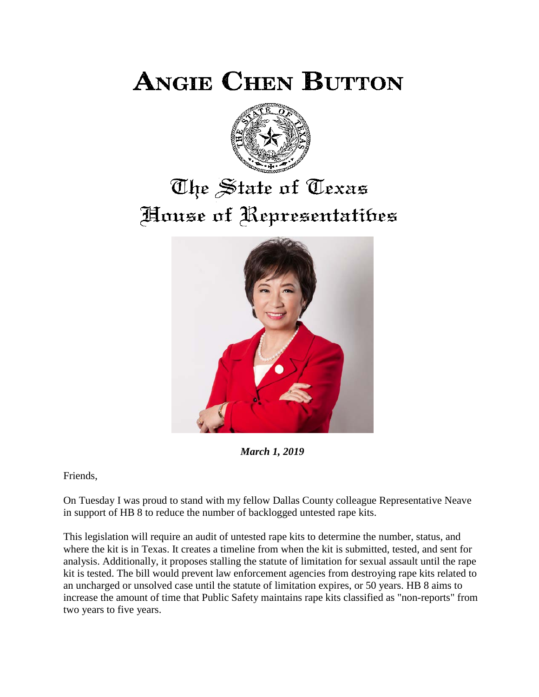**ANGIE CHEN BUTTON** 



# The State of Texas House of Representatibes



*March 1, 2019*

Friends,

On Tuesday I was proud to stand with my fellow Dallas County colleague Representative Neave in support of HB 8 to reduce the number of backlogged untested rape kits.

This legislation will require an audit of untested rape kits to determine the number, status, and where the kit is in Texas. It creates a timeline from when the kit is submitted, tested, and sent for analysis. Additionally, it proposes stalling the statute of limitation for sexual assault until the rape kit is tested. The bill would prevent law enforcement agencies from destroying rape kits related to an uncharged or unsolved case until the statute of limitation expires, or 50 years. HB 8 aims to increase the amount of time that Public Safety maintains rape kits classified as "non-reports" from two years to five years.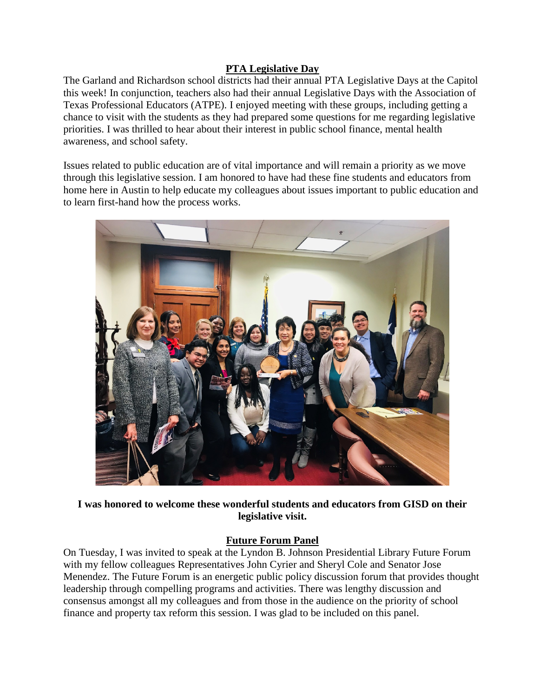## **PTA Legislative Day**

The Garland and Richardson school districts had their annual PTA Legislative Days at the Capitol this week! In conjunction, teachers also had their annual Legislative Days with the Association of Texas Professional Educators (ATPE). I enjoyed meeting with these groups, including getting a chance to visit with the students as they had prepared some questions for me regarding legislative priorities. I was thrilled to hear about their interest in public school finance, mental health awareness, and school safety.

Issues related to public education are of vital importance and will remain a priority as we move through this legislative session. I am honored to have had these fine students and educators from home here in Austin to help educate my colleagues about issues important to public education and to learn first-hand how the process works.



**I was honored to welcome these wonderful students and educators from GISD on their legislative visit.**

## **Future Forum Panel**

On Tuesday, I was invited to speak at the Lyndon B. Johnson Presidential Library Future Forum with my fellow colleagues Representatives John Cyrier and Sheryl Cole and Senator Jose Menendez. The Future Forum is an energetic public policy discussion forum that provides thought leadership through compelling programs and activities. There was lengthy discussion and consensus amongst all my colleagues and from those in the audience on the priority of school finance and property tax reform this session. I was glad to be included on this panel.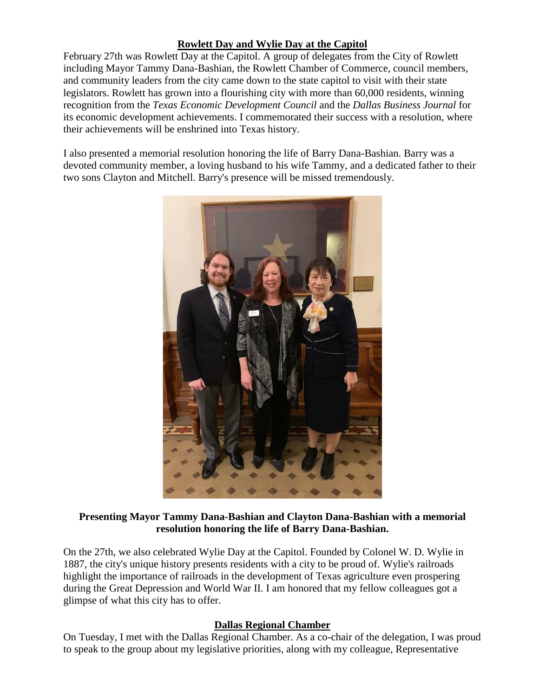## **Rowlett Day and Wylie Day at the Capitol**

February 27th was Rowlett Day at the Capitol. A group of delegates from the City of Rowlett including Mayor Tammy Dana-Bashian, the Rowlett Chamber of Commerce, council members, and community leaders from the city came down to the state capitol to visit with their state legislators. Rowlett has grown into a flourishing city with more than 60,000 residents, winning recognition from the *Texas Economic Development Council* and the *Dallas Business Journal* for its economic development achievements. I commemorated their success with a resolution, where their achievements will be enshrined into Texas history.

I also presented a memorial resolution honoring the life of Barry Dana-Bashian. Barry was a devoted community member, a loving husband to his wife Tammy, and a dedicated father to their two sons Clayton and Mitchell. Barry's presence will be missed tremendously.



#### **Presenting Mayor Tammy Dana-Bashian and Clayton Dana-Bashian with a memorial resolution honoring the life of Barry Dana-Bashian.**

On the 27th, we also celebrated Wylie Day at the Capitol. Founded by Colonel W. D. Wylie in 1887, the city's unique history presents residents with a city to be proud of. Wylie's railroads highlight the importance of railroads in the development of Texas agriculture even prospering during the Great Depression and World War II. I am honored that my fellow colleagues got a glimpse of what this city has to offer.

#### **Dallas Regional Chamber**

On Tuesday, I met with the Dallas Regional Chamber. As a co-chair of the delegation, I was proud to speak to the group about my legislative priorities, along with my colleague, Representative